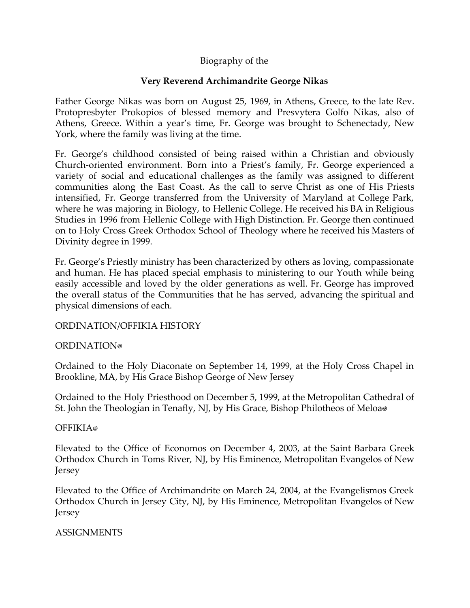# Biography of the

## **Very Reverend Archimandrite George Nikas**

Father George Nikas was born on August 25, 1969, in Athens, Greece, to the late Rev. Protopresbyter Prokopios of blessed memory and Presvytera Golfo Nikas, also of Athens, Greece. Within a year's time, Fr. George was brought to Schenectady, New York, where the family was living at the time.

Fr. George's childhood consisted of being raised within a Christian and obviously Church-oriented environment. Born into a Priest's family, Fr. George experienced a variety of social and educational challenges as the family was assigned to different communities along the East Coast. As the call to serve Christ as one of His Priests intensified, Fr. George transferred from the University of Maryland at College Park, where he was majoring in Biology, to Hellenic College. He received his BA in Religious Studies in 1996 from Hellenic College with High Distinction. Fr. George then continued on to Holy Cross Greek Orthodox School of Theology where he received his Masters of Divinity degree in 1999.

Fr. George's Priestly ministry has been characterized by others as loving, compassionate and human. He has placed special emphasis to ministering to our Youth while being easily accessible and loved by the older generations as well. Fr. George has improved the overall status of the Communities that he has served, advancing the spiritual and physical dimensions of each.

### ORDINATION/OFFIKIA HISTORY

### **ORDINATION**<sup>®</sup>

Ordained to the Holy Diaconate on September 14, 1999, at the Holy Cross Chapel in Brookline, MA, by His Grace Bishop George of New Jersey

Ordained to the Holy Priesthood on December 5, 1999, at the Metropolitan Cathedral of St. John the Theologian in Tenafly, NJ, by His Grace, Bishop Philotheos of Meloa

### OFFIKIA<sup>®</sup>

Elevated to the Office of Economos on December 4, 2003, at the Saint Barbara Greek Orthodox Church in Toms River, NJ, by His Eminence, Metropolitan Evangelos of New Jersey

Elevated to the Office of Archimandrite on March 24, 2004, at the Evangelismos Greek Orthodox Church in Jersey City, NJ, by His Eminence, Metropolitan Evangelos of New Jersey

### ASSIGNMENTS